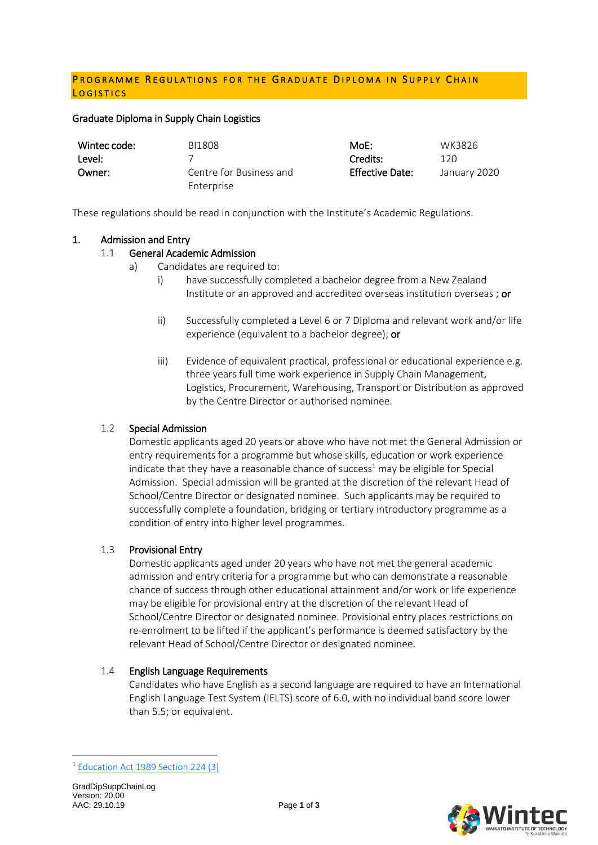## PROGRAMME REGULATIONS FOR THE GRADUATE DIPLOMA IN SUPPLY CHAIN LOGISTICS

#### Graduate Diploma in Supply Chain Logistics

| Wintec code: | BI1808                  | MoE:            | WK3826       |
|--------------|-------------------------|-----------------|--------------|
| Level:       |                         | Credits:        | 120          |
| Owner:       | Centre for Business and | Effective Date: | January 2020 |
|              | Enterprise              |                 |              |

These regulations should be read in conjunction with the Institute's Academic Regulations.

### 1. Admission and Entry

## 1.1 General Academic Admission

- a) Candidates are required to:
	- i) have successfully completed a bachelor degree from a New Zealand Institute or an approved and accredited overseas institution overseas ; or
	- ii) Successfully completed a Level 6 or 7 Diploma and relevant work and/or life experience (equivalent to a bachelor degree); or
	- iii) Evidence of equivalent practical, professional or educational experience e.g. three years full time work experience in Supply Chain Management, Logistics, Procurement, Warehousing, Transport or Distribution as approved by the Centre Director or authorised nominee.

## 1.2 Special Admission

Domestic applicants aged 20 years or above who have not met the General Admission or entry requirements for a programme but whose skills, education or work experience indicate that they have a reasonable chance of success<sup>1</sup> may be eligible for Special Admission. Special admission will be granted at the discretion of the relevant Head of School/Centre Director or designated nominee. Such applicants may be required to successfully complete a foundation, bridging or tertiary introductory programme as a condition of entry into higher level programmes.

#### 1.3 Provisional Entry

Domestic applicants aged under 20 years who have not met the general academic admission and entry criteria for a programme but who can demonstrate a reasonable chance of success through other educational attainment and/or work or life experience may be eligible for provisional entry at the discretion of the relevant Head of School/Centre Director or designated nominee. Provisional entry places restrictions on re-enrolment to be lifted if the applicant's performance is deemed satisfactory by the relevant Head of School/Centre Director or designated nominee.

#### 1.4 English Language Requirements

Candidates who have English as a second language are required to have an International English Language Test System (IELTS) score of 6.0, with no individual band score lower than 5.5; or equivalent.

1



<sup>1</sup> [Education Act 1989 Section 224 \(3\)](http://www.legislation.govt.nz/act/public/2011/0066/latest/DLM3612075.html?search=qs_act%40bill%40regulation%40deemedreg_education+act+1989_resel_25_h&p=1)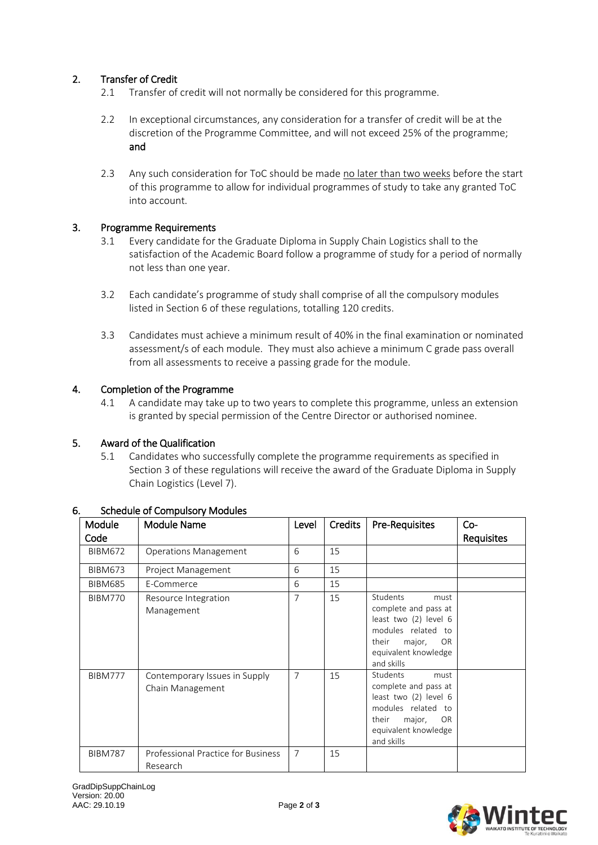# 2. Transfer of Credit

- 2.1 Transfer of credit will not normally be considered for this programme.
- 2.2 In exceptional circumstances, any consideration for a transfer of credit will be at the discretion of the Programme Committee, and will not exceed 25% of the programme; and
- 2.3 Any such consideration for ToC should be made no later than two weeks before the start of this programme to allow for individual programmes of study to take any granted ToC into account.

## 3. Programme Requirements

- 3.1 Every candidate for the Graduate Diploma in Supply Chain Logistics shall to the satisfaction of the Academic Board follow a programme of study for a period of normally not less than one year.
- 3.2 Each candidate's programme of study shall comprise of all the compulsory modules listed in Section 6 of these regulations, totalling 120 credits.
- 3.3 Candidates must achieve a minimum result of 40% in the final examination or nominated assessment/s of each module. They must also achieve a minimum C grade pass overall from all assessments to receive a passing grade for the module.

## 4. Completion of the Programme

4.1 A candidate may take up to two years to complete this programme, unless an extension is granted by special permission of the Centre Director or authorised nominee.

## 5. Award of the Qualification

5.1 Candidates who successfully complete the programme requirements as specified in Section 3 of these regulations will receive the award of the Graduate Diploma in Supply Chain Logistics (Level 7).

| <b>Module</b><br>Code | Module Name                                       | Level          | <b>Credits</b> | <b>Pre-Requisites</b>                                                                                                                                         | $Co-$<br>Requisites |
|-----------------------|---------------------------------------------------|----------------|----------------|---------------------------------------------------------------------------------------------------------------------------------------------------------------|---------------------|
| <b>BIBM672</b>        | <b>Operations Management</b>                      | 6              | 15             |                                                                                                                                                               |                     |
| <b>BIBM673</b>        | Project Management                                | 6              | 15             |                                                                                                                                                               |                     |
| <b>BIBM685</b>        | E-Commerce                                        | 6              | 15             |                                                                                                                                                               |                     |
| <b>BIBM770</b>        | Resource Integration<br>Management                | 7              | 15             | Students<br>must<br>complete and pass at<br>least two (2) level 6<br>modules related to<br>their<br>major,<br><b>OR</b><br>equivalent knowledge<br>and skills |                     |
| <b>BIBM777</b>        | Contemporary Issues in Supply<br>Chain Management | 7              | 15             | Students<br>must<br>complete and pass at<br>least two (2) level 6<br>modules related to<br>their<br>major,<br><b>OR</b><br>equivalent knowledge<br>and skills |                     |
| <b>BIBM787</b>        | Professional Practice for Business<br>Research    | $\overline{7}$ | 15             |                                                                                                                                                               |                     |

## 6. Schedule of Compulsory Modules